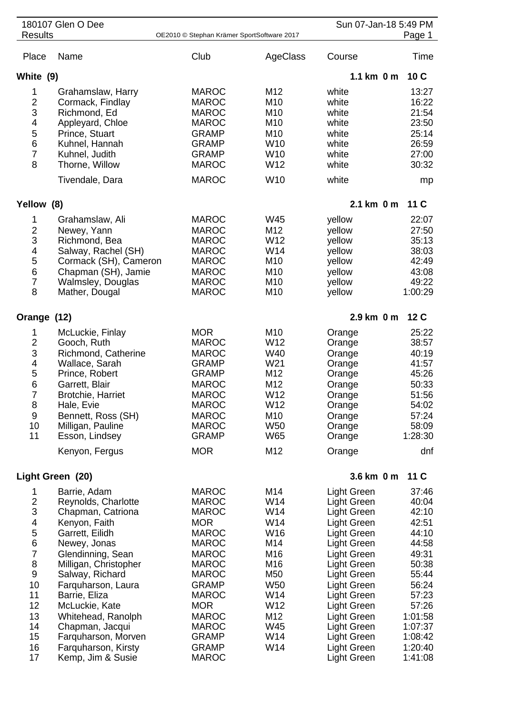| 180107 Glen O Dee<br><b>Results</b><br>OE2010 © Stephan Krämer SportSoftware 2017                                                                       |                                                                                                                                                                                                                                                                                                                                    |                                                                                                                                                                                                                                                          |                                                                                                                                     | Sun 07-Jan-18 5:49 PM                                                                                                                                                                                                                               | Page 1                                                                                                                                                 |
|---------------------------------------------------------------------------------------------------------------------------------------------------------|------------------------------------------------------------------------------------------------------------------------------------------------------------------------------------------------------------------------------------------------------------------------------------------------------------------------------------|----------------------------------------------------------------------------------------------------------------------------------------------------------------------------------------------------------------------------------------------------------|-------------------------------------------------------------------------------------------------------------------------------------|-----------------------------------------------------------------------------------------------------------------------------------------------------------------------------------------------------------------------------------------------------|--------------------------------------------------------------------------------------------------------------------------------------------------------|
|                                                                                                                                                         |                                                                                                                                                                                                                                                                                                                                    |                                                                                                                                                                                                                                                          |                                                                                                                                     |                                                                                                                                                                                                                                                     |                                                                                                                                                        |
| Place                                                                                                                                                   | Name                                                                                                                                                                                                                                                                                                                               | Club                                                                                                                                                                                                                                                     | AgeClass                                                                                                                            | Course                                                                                                                                                                                                                                              | Time                                                                                                                                                   |
| White (9)                                                                                                                                               |                                                                                                                                                                                                                                                                                                                                    |                                                                                                                                                                                                                                                          |                                                                                                                                     | 1.1 km $0m$                                                                                                                                                                                                                                         | 10C                                                                                                                                                    |
| 1<br>$\frac{2}{3}$<br>4<br>5<br>6<br>$\overline{7}$<br>8                                                                                                | Grahamslaw, Harry<br>Cormack, Findlay<br>Richmond, Ed<br>Appleyard, Chloe<br>Prince, Stuart<br>Kuhnel, Hannah<br>Kuhnel, Judith<br>Thorne, Willow<br>Tivendale, Dara                                                                                                                                                               | <b>MAROC</b><br><b>MAROC</b><br><b>MAROC</b><br><b>MAROC</b><br><b>GRAMP</b><br><b>GRAMP</b><br><b>GRAMP</b><br><b>MAROC</b><br><b>MAROC</b>                                                                                                             | M12<br>M <sub>10</sub><br>M <sub>10</sub><br>M <sub>10</sub><br>M10<br>W <sub>10</sub><br>W <sub>10</sub><br>W12<br>W <sub>10</sub> | white<br>white<br>white<br>white<br>white<br>white<br>white<br>white<br>white                                                                                                                                                                       | 13:27<br>16:22<br>21:54<br>23:50<br>25:14<br>26:59<br>27:00<br>30:32<br>mp                                                                             |
| Yellow (8)                                                                                                                                              |                                                                                                                                                                                                                                                                                                                                    |                                                                                                                                                                                                                                                          |                                                                                                                                     | 2.1 km 0 m                                                                                                                                                                                                                                          | 11 <sub>C</sub>                                                                                                                                        |
| 1<br>$\frac{2}{3}$<br>4<br>5<br>$6\phantom{1}6$<br>$\overline{7}$<br>8                                                                                  | Grahamslaw, Ali<br>Newey, Yann<br>Richmond, Bea<br>Salway, Rachel (SH)<br>Cormack (SH), Cameron<br>Chapman (SH), Jamie<br>Walmsley, Douglas<br>Mather, Dougal                                                                                                                                                                      | <b>MAROC</b><br><b>MAROC</b><br><b>MAROC</b><br><b>MAROC</b><br><b>MAROC</b><br><b>MAROC</b><br><b>MAROC</b><br><b>MAROC</b>                                                                                                                             | W45<br>M12<br>W12<br>W14<br>M10<br>M <sub>10</sub><br>M <sub>10</sub><br>M10                                                        | yellow<br>yellow<br>yellow<br>yellow<br>yellow<br>yellow<br>yellow<br>yellow                                                                                                                                                                        | 22:07<br>27:50<br>35:13<br>38:03<br>42:49<br>43:08<br>49:22<br>1:00:29                                                                                 |
| Orange (12)                                                                                                                                             |                                                                                                                                                                                                                                                                                                                                    |                                                                                                                                                                                                                                                          | 2.9 km 0 m                                                                                                                          | 12 C                                                                                                                                                                                                                                                |                                                                                                                                                        |
| 1<br>$\overline{2}$<br>3<br>4<br>5<br>$6\phantom{1}6$<br>$\overline{7}$<br>8<br>9<br>10<br>11                                                           | McLuckie, Finlay<br>Gooch, Ruth<br>Richmond, Catherine<br>Wallace, Sarah<br>Prince, Robert<br>Garrett, Blair<br><b>Brotchie, Harriet</b><br>Hale, Evie<br>Bennett, Ross (SH)<br>Milligan, Pauline<br>Esson, Lindsey<br>Kenyon, Fergus                                                                                              | <b>MOR</b><br><b>MAROC</b><br><b>MAROC</b><br><b>GRAMP</b><br><b>GRAMP</b><br><b>MAROC</b><br><b>MAROC</b><br><b>MAROC</b><br><b>MAROC</b><br><b>MAROC</b><br><b>GRAMP</b><br><b>MOR</b>                                                                 | M10<br>W12<br>W40<br>W21<br>M12<br>M <sub>12</sub><br>W12<br>W12<br>M10<br><b>W50</b><br><b>W65</b><br>M12                          | Orange<br>Orange<br>Orange<br>Orange<br>Orange<br>Orange<br>Orange<br>Orange<br>Orange<br>Orange<br>Orange<br>Orange                                                                                                                                | 25:22<br>38:57<br>40:19<br>41:57<br>45:26<br>50:33<br>51:56<br>54:02<br>57:24<br>58:09<br>1:28:30<br>dnf                                               |
|                                                                                                                                                         |                                                                                                                                                                                                                                                                                                                                    |                                                                                                                                                                                                                                                          |                                                                                                                                     |                                                                                                                                                                                                                                                     |                                                                                                                                                        |
| 1                                                                                                                                                       | Light Green (20)<br>Barrie, Adam                                                                                                                                                                                                                                                                                                   | <b>MAROC</b>                                                                                                                                                                                                                                             | M14                                                                                                                                 | 3.6 km 0 m<br>Light Green                                                                                                                                                                                                                           | 11 <sub>C</sub><br>37:46                                                                                                                               |
| $\frac{2}{3}$<br>$\overline{\mathbf{4}}$<br>5<br>$\,$ 6 $\,$<br>$\overline{7}$<br>8<br>$\boldsymbol{9}$<br>10<br>11<br>12<br>13<br>14<br>15<br>16<br>17 | Reynolds, Charlotte<br>Chapman, Catriona<br>Kenyon, Faith<br>Garrett, Eilidh<br>Newey, Jonas<br>Glendinning, Sean<br>Milligan, Christopher<br>Salway, Richard<br>Farquharson, Laura<br>Barrie, Eliza<br>McLuckie, Kate<br>Whitehead, Ranolph<br>Chapman, Jacqui<br>Farquharson, Morven<br>Farquharson, Kirsty<br>Kemp, Jim & Susie | <b>MAROC</b><br><b>MAROC</b><br><b>MOR</b><br><b>MAROC</b><br><b>MAROC</b><br><b>MAROC</b><br><b>MAROC</b><br><b>MAROC</b><br><b>GRAMP</b><br><b>MAROC</b><br><b>MOR</b><br><b>MAROC</b><br><b>MAROC</b><br><b>GRAMP</b><br><b>GRAMP</b><br><b>MAROC</b> | W14<br>W14<br>W14<br>W16<br>M14<br>M16<br>M16<br>M50<br>W <sub>50</sub><br>W14<br>W12<br>M12<br>W45<br>W14<br>W14                   | Light Green<br>Light Green<br>Light Green<br>Light Green<br>Light Green<br>Light Green<br>Light Green<br>Light Green<br>Light Green<br>Light Green<br>Light Green<br>Light Green<br>Light Green<br>Light Green<br>Light Green<br><b>Light Green</b> | 40:04<br>42:10<br>42:51<br>44:10<br>44:58<br>49:31<br>50:38<br>55:44<br>56:24<br>57:23<br>57:26<br>1:01:58<br>1:07:37<br>1:08:42<br>1:20:40<br>1:41:08 |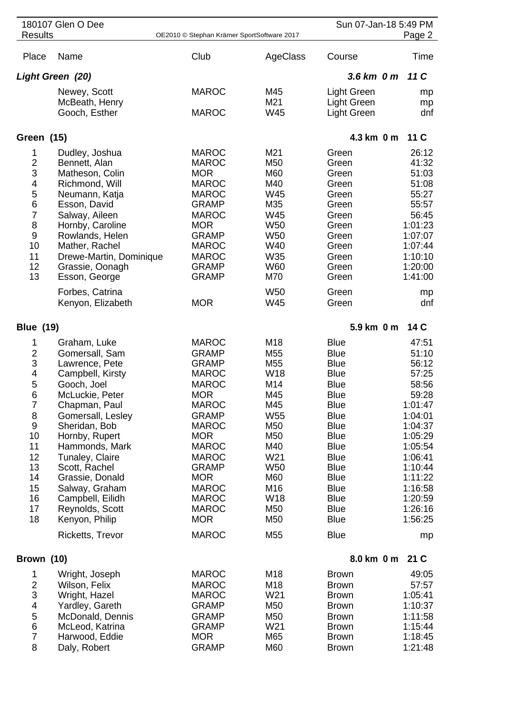|                                                                                                                                                   | 180107 Glen O Dee                                                                                                                                                                                                                                                                                                                                       |                                                                                                                                                                                                                                                                                                      |                                                                                                                                                                              | Sun 07-Jan-18 5:49 PM                                                                                                                                                                                                                                                                     |                                                                                                                                                                                              |
|---------------------------------------------------------------------------------------------------------------------------------------------------|---------------------------------------------------------------------------------------------------------------------------------------------------------------------------------------------------------------------------------------------------------------------------------------------------------------------------------------------------------|------------------------------------------------------------------------------------------------------------------------------------------------------------------------------------------------------------------------------------------------------------------------------------------------------|------------------------------------------------------------------------------------------------------------------------------------------------------------------------------|-------------------------------------------------------------------------------------------------------------------------------------------------------------------------------------------------------------------------------------------------------------------------------------------|----------------------------------------------------------------------------------------------------------------------------------------------------------------------------------------------|
| <b>Results</b>                                                                                                                                    |                                                                                                                                                                                                                                                                                                                                                         | OE2010 © Stephan Krämer SportSoftware 2017                                                                                                                                                                                                                                                           |                                                                                                                                                                              |                                                                                                                                                                                                                                                                                           | Page 2                                                                                                                                                                                       |
| Place                                                                                                                                             | Name                                                                                                                                                                                                                                                                                                                                                    | Club                                                                                                                                                                                                                                                                                                 | AgeClass                                                                                                                                                                     | Course                                                                                                                                                                                                                                                                                    | Time                                                                                                                                                                                         |
|                                                                                                                                                   | Light Green (20)                                                                                                                                                                                                                                                                                                                                        |                                                                                                                                                                                                                                                                                                      |                                                                                                                                                                              | 3.6 km 0 m                                                                                                                                                                                                                                                                                | 11C                                                                                                                                                                                          |
|                                                                                                                                                   | Newey, Scott<br>McBeath, Henry<br>Gooch, Esther                                                                                                                                                                                                                                                                                                         | <b>MAROC</b><br><b>MAROC</b>                                                                                                                                                                                                                                                                         | M45<br>M21<br><b>W45</b>                                                                                                                                                     | Light Green<br><b>Light Green</b><br><b>Light Green</b>                                                                                                                                                                                                                                   | mp<br>mp<br>dnf                                                                                                                                                                              |
| Green (15)                                                                                                                                        |                                                                                                                                                                                                                                                                                                                                                         |                                                                                                                                                                                                                                                                                                      |                                                                                                                                                                              | 4.3 km 0 m                                                                                                                                                                                                                                                                                | 11 C                                                                                                                                                                                         |
| 1<br>$\frac{2}{3}$<br>4<br>5<br>6<br>$\overline{7}$<br>8<br>9<br>10<br>11<br>12<br>13                                                             | Dudley, Joshua<br>Bennett, Alan<br>Matheson, Colin<br>Richmond, Will<br>Neumann, Katja<br>Esson, David<br>Salway, Aileen<br>Hornby, Caroline<br>Rowlands, Helen<br>Mather, Rachel<br>Drewe-Martin, Dominique<br>Grassie, Oonagh<br>Esson, George                                                                                                        | <b>MAROC</b><br><b>MAROC</b><br><b>MOR</b><br><b>MAROC</b><br><b>MAROC</b><br><b>GRAMP</b><br><b>MAROC</b><br><b>MOR</b><br><b>GRAMP</b><br><b>MAROC</b><br><b>MAROC</b><br><b>GRAMP</b><br><b>GRAMP</b>                                                                                             | M21<br>M50<br>M60<br>M40<br>W45<br>M35<br>W45<br>W <sub>50</sub><br>W <sub>50</sub><br>W40<br>W35<br><b>W60</b><br>M70                                                       | Green<br>Green<br>Green<br>Green<br>Green<br>Green<br>Green<br>Green<br>Green<br>Green<br>Green<br>Green<br>Green                                                                                                                                                                         | 26:12<br>41:32<br>51:03<br>51:08<br>55:27<br>55:57<br>56:45<br>1:01:23<br>1:07:07<br>1:07:44<br>1:10:10<br>1:20:00<br>1:41:00                                                                |
|                                                                                                                                                   | Forbes, Catrina<br>Kenyon, Elizabeth                                                                                                                                                                                                                                                                                                                    | <b>MOR</b>                                                                                                                                                                                                                                                                                           | <b>W50</b><br>W45                                                                                                                                                            | Green<br>Green                                                                                                                                                                                                                                                                            | mp<br>dnf                                                                                                                                                                                    |
| <b>Blue (19)</b>                                                                                                                                  |                                                                                                                                                                                                                                                                                                                                                         |                                                                                                                                                                                                                                                                                                      |                                                                                                                                                                              | 5.9 km 0 m                                                                                                                                                                                                                                                                                | 14 C                                                                                                                                                                                         |
| 1<br>$\overline{\mathbf{c}}$<br>3<br>4<br>5<br>6<br>$\overline{7}$<br>8<br>$\boldsymbol{9}$<br>10<br>11<br>12<br>13<br>14<br>15<br>16<br>17<br>18 | Graham, Luke<br>Gomersall, Sam<br>Lawrence, Pete<br>Campbell, Kirsty<br>Gooch, Joel<br>McLuckie, Peter<br>Chapman, Paul<br>Gomersall, Lesley<br>Sheridan, Bob<br>Hornby, Rupert<br>Hammonds, Mark<br>Tunaley, Claire<br>Scott, Rachel<br>Grassie, Donald<br>Salway, Graham<br>Campbell, Eilidh<br>Reynolds, Scott<br>Kenyon, Philip<br>Ricketts, Trevor | <b>MAROC</b><br><b>GRAMP</b><br><b>GRAMP</b><br><b>MAROC</b><br><b>MAROC</b><br><b>MOR</b><br><b>MAROC</b><br><b>GRAMP</b><br><b>MAROC</b><br><b>MOR</b><br><b>MAROC</b><br><b>MAROC</b><br><b>GRAMP</b><br><b>MOR</b><br><b>MAROC</b><br><b>MAROC</b><br><b>MAROC</b><br><b>MOR</b><br><b>MAROC</b> | M18<br>M <sub>55</sub><br>M <sub>55</sub><br><b>W18</b><br>M14<br>M45<br>M45<br>W55<br>M50<br>M50<br>M40<br>W21<br>W <sub>50</sub><br>M60<br>M16<br>W18<br>M50<br>M50<br>M55 | <b>Blue</b><br><b>Blue</b><br><b>Blue</b><br><b>Blue</b><br><b>Blue</b><br><b>Blue</b><br><b>Blue</b><br><b>Blue</b><br><b>Blue</b><br><b>Blue</b><br><b>Blue</b><br><b>Blue</b><br><b>Blue</b><br><b>Blue</b><br><b>Blue</b><br><b>Blue</b><br><b>Blue</b><br><b>Blue</b><br><b>Blue</b> | 47:51<br>51:10<br>56:12<br>57:25<br>58:56<br>59:28<br>1:01:47<br>1:04:01<br>1:04:37<br>1:05:29<br>1:05:54<br>1:06:41<br>1:10:44<br>1:11:22<br>1:16:58<br>1:20:59<br>1:26:16<br>1:56:25<br>mp |
| Brown (10)                                                                                                                                        |                                                                                                                                                                                                                                                                                                                                                         |                                                                                                                                                                                                                                                                                                      |                                                                                                                                                                              | 8.0 km 0 m                                                                                                                                                                                                                                                                                | 21 C                                                                                                                                                                                         |
| 1<br>$\overline{\mathbf{c}}$<br>3<br>4<br>5<br>6<br>$\overline{7}$<br>8                                                                           | Wright, Joseph<br>Wilson, Felix<br>Wright, Hazel<br>Yardley, Gareth<br>McDonald, Dennis<br>McLeod, Katrina<br>Harwood, Eddie<br>Daly, Robert                                                                                                                                                                                                            | <b>MAROC</b><br><b>MAROC</b><br><b>MAROC</b><br><b>GRAMP</b><br><b>GRAMP</b><br><b>GRAMP</b><br><b>MOR</b><br><b>GRAMP</b>                                                                                                                                                                           | M18<br>M18<br>W21<br>M50<br>M50<br>W21<br>M65<br>M60                                                                                                                         | <b>Brown</b><br><b>Brown</b><br><b>Brown</b><br><b>Brown</b><br><b>Brown</b><br><b>Brown</b><br><b>Brown</b><br><b>Brown</b>                                                                                                                                                              | 49:05<br>57:57<br>1:05:41<br>1:10:37<br>1:11:58<br>1:15:44<br>1:18:45<br>1:21:48                                                                                                             |